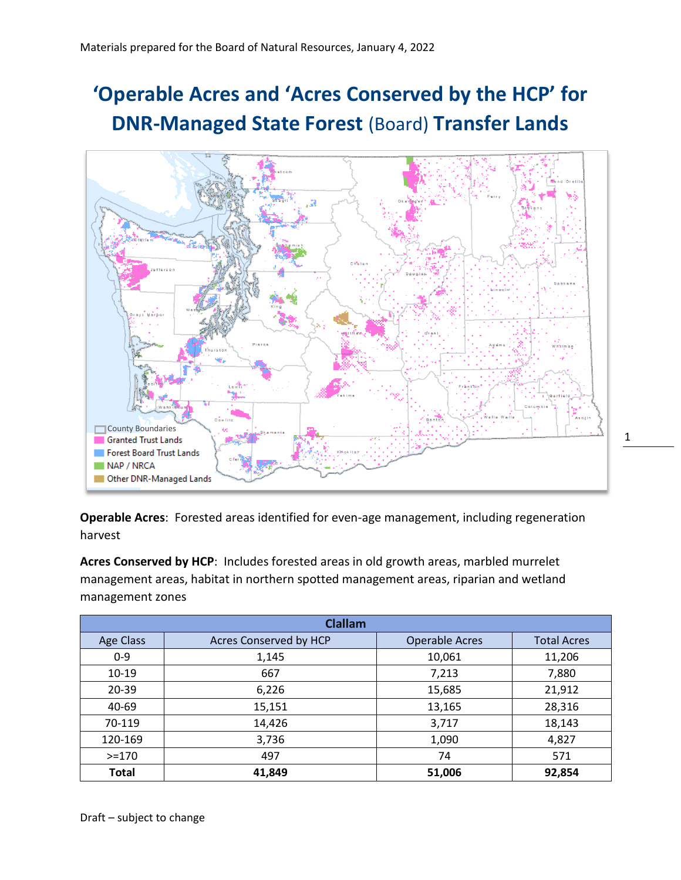## **'Operable Acres and 'Acres Conserved by the HCP' for DNR-Managed State Forest** (Board) **Transfer Lands**



1

**Operable Acres**: Forested areas identified for even-age management, including regeneration harvest

**Acres Conserved by HCP**: Includes forested areas in old growth areas, marbled murrelet management areas, habitat in northern spotted management areas, riparian and wetland management zones

| <b>Clallam</b>   |                        |                       |                    |
|------------------|------------------------|-----------------------|--------------------|
| <b>Age Class</b> | Acres Conserved by HCP | <b>Operable Acres</b> | <b>Total Acres</b> |
| $0 - 9$          | 1,145                  | 10,061                | 11,206             |
| $10-19$          | 667                    | 7,213                 | 7,880              |
| $20 - 39$        | 6,226                  | 15,685                | 21,912             |
| 40-69            | 15,151                 | 13,165                | 28,316             |
| 70-119           | 14,426                 | 3,717                 | 18,143             |
| 120-169          | 3,736                  | 1,090                 | 4,827              |
| $> = 170$        | 497                    | 74                    | 571                |
| <b>Total</b>     | 41,849                 | 51,006                | 92,854             |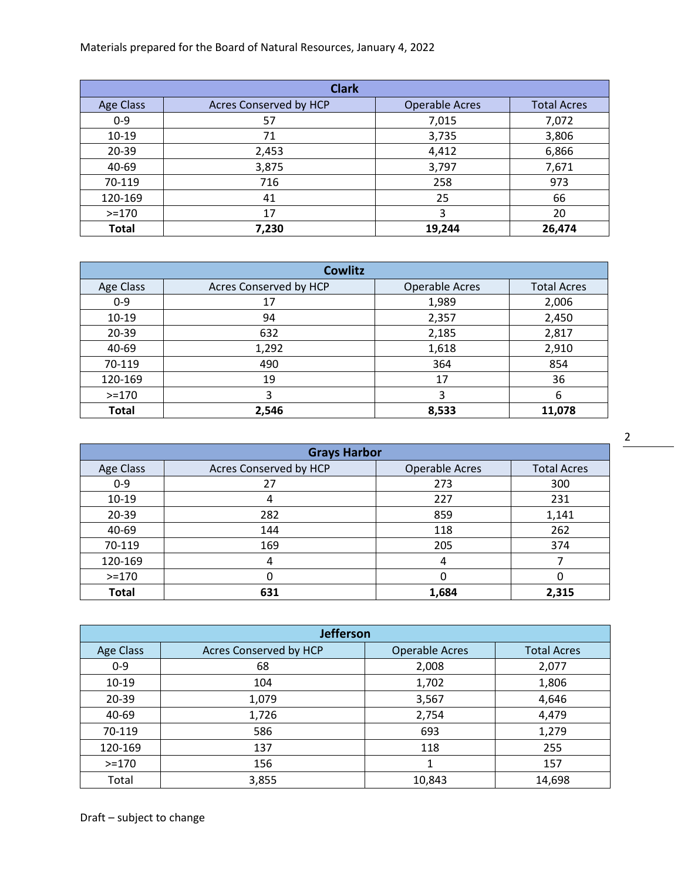Materials prepared for the Board of Natural Resources, January 4, 2022

| <b>Clark</b>     |                        |                       |                    |
|------------------|------------------------|-----------------------|--------------------|
| <b>Age Class</b> | Acres Conserved by HCP | <b>Operable Acres</b> | <b>Total Acres</b> |
| $0 - 9$          | 57                     | 7,015                 | 7,072              |
| $10 - 19$        | 71                     | 3,735                 | 3,806              |
| 20-39            | 2,453                  | 4,412                 | 6,866              |
| 40-69            | 3,875                  | 3,797                 | 7,671              |
| 70-119           | 716                    | 258                   | 973                |
| 120-169          | 41                     | 25                    | 66                 |
| $>=170$          | 17                     | 3                     | 20                 |
| <b>Total</b>     | 7,230                  | 19,244                | 26,474             |

| <b>Cowlitz</b> |                        |                       |                    |
|----------------|------------------------|-----------------------|--------------------|
| Age Class      | Acres Conserved by HCP | <b>Operable Acres</b> | <b>Total Acres</b> |
| $0 - 9$        | 17                     | 1,989                 | 2,006              |
| $10-19$        | 94                     | 2,357                 | 2,450              |
| 20-39          | 632                    | 2,185                 | 2,817              |
| 40-69          | 1,292                  | 1,618                 | 2,910              |
| 70-119         | 490                    | 364                   | 854                |
| 120-169        | 19                     | 17                    | 36                 |
| $>=170$        | 3                      |                       | 6                  |
| <b>Total</b>   | 2,546                  | 8,533                 | 11,078             |

| <b>Grays Harbor</b> |                        |                       |                    |
|---------------------|------------------------|-----------------------|--------------------|
| Age Class           | Acres Conserved by HCP | <b>Operable Acres</b> | <b>Total Acres</b> |
| $0 - 9$             | 27                     | 273                   | 300                |
| $10 - 19$           | Δ                      | 227                   | 231                |
| 20-39               | 282                    | 859                   | 1,141              |
| 40-69               | 144                    | 118                   | 262                |
| 70-119              | 169                    | 205                   | 374                |
| 120-169             | 4                      |                       |                    |
| $>=170$             |                        |                       | 0                  |
| <b>Total</b>        | 631                    | 1,684                 | 2,315              |

2

| Jefferson        |                        |                       |                    |
|------------------|------------------------|-----------------------|--------------------|
| <b>Age Class</b> | Acres Conserved by HCP | <b>Operable Acres</b> | <b>Total Acres</b> |
| $0 - 9$          | 68                     | 2,008                 | 2,077              |
| $10 - 19$        | 104                    | 1,702                 | 1,806              |
| 20-39            | 1,079                  | 3,567                 | 4,646              |
| 40-69            | 1,726                  | 2,754                 | 4,479              |
| 70-119           | 586                    | 693                   | 1,279              |
| 120-169          | 137                    | 118                   | 255                |
| $>=170$          | 156                    |                       | 157                |
| Total            | 3,855                  | 10,843                | 14,698             |

Draft – subject to change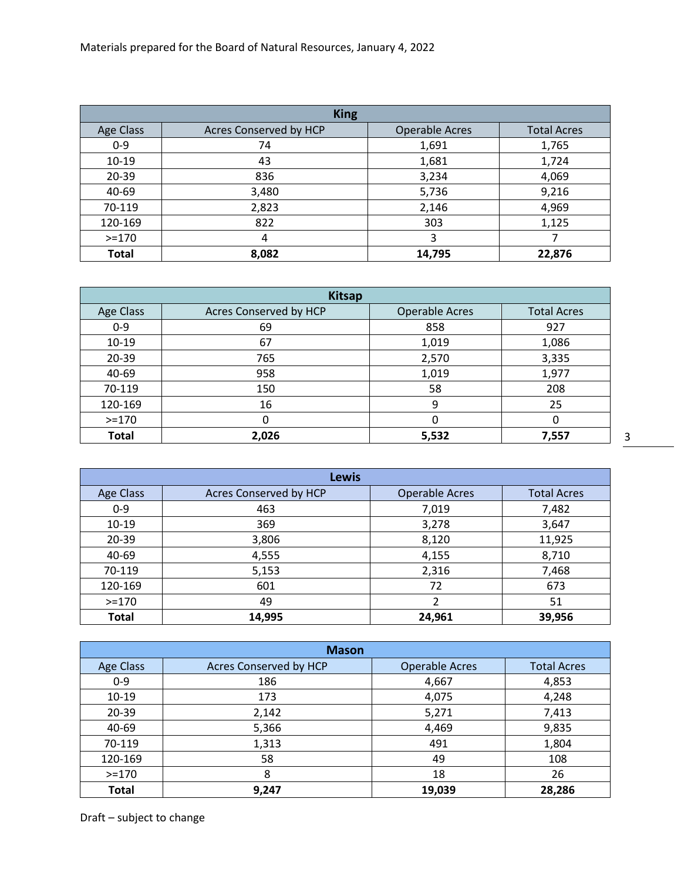| <b>King</b>  |                        |                       |                    |
|--------------|------------------------|-----------------------|--------------------|
| Age Class    | Acres Conserved by HCP | <b>Operable Acres</b> | <b>Total Acres</b> |
| $0 - 9$      | 74                     | 1,691                 | 1,765              |
| $10-19$      | 43                     | 1,681                 | 1,724              |
| 20-39        | 836                    | 3,234                 | 4,069              |
| 40-69        | 3,480                  | 5,736                 | 9,216              |
| 70-119       | 2,823                  | 2,146                 | 4,969              |
| 120-169      | 822                    | 303                   | 1,125              |
| $> = 170$    | 4                      | 3                     |                    |
| <b>Total</b> | 8,082                  | 14,795                | 22,876             |

| <b>Kitsap</b> |                        |                       |                    |
|---------------|------------------------|-----------------------|--------------------|
| Age Class     | Acres Conserved by HCP | <b>Operable Acres</b> | <b>Total Acres</b> |
| $0 - 9$       | 69                     | 858                   | 927                |
| $10 - 19$     | 67                     | 1,019                 | 1,086              |
| 20-39         | 765                    | 2,570                 | 3,335              |
| 40-69         | 958                    | 1,019                 | 1,977              |
| 70-119        | 150                    | 58                    | 208                |
| 120-169       | 16                     | 9                     | 25                 |
| $>=170$       | 0                      | 0                     | 0                  |
| <b>Total</b>  | 2,026                  | 5,532                 | 7,557              |

3

| <b>Lewis</b>     |                        |                       |                    |
|------------------|------------------------|-----------------------|--------------------|
| <b>Age Class</b> | Acres Conserved by HCP | <b>Operable Acres</b> | <b>Total Acres</b> |
| $0 - 9$          | 463                    | 7,019                 | 7,482              |
| $10 - 19$        | 369                    | 3,278                 | 3,647              |
| 20-39            | 3,806                  | 8,120                 | 11,925             |
| 40-69            | 4,555                  | 4,155                 | 8,710              |
| 70-119           | 5,153                  | 2,316                 | 7,468              |
| 120-169          | 601                    | 72                    | 673                |
| $> = 170$        | 49                     | 2                     | 51                 |
| Total            | 14,995                 | 24,961                | 39,956             |

| <b>Mason</b>     |                        |                       |                    |
|------------------|------------------------|-----------------------|--------------------|
| <b>Age Class</b> | Acres Conserved by HCP | <b>Operable Acres</b> | <b>Total Acres</b> |
| $0 - 9$          | 186                    | 4,667                 | 4,853              |
| $10 - 19$        | 173                    | 4,075                 | 4,248              |
| $20 - 39$        | 2,142                  | 5,271                 | 7,413              |
| 40-69            | 5,366                  | 4,469                 | 9,835              |
| 70-119           | 1,313                  | 491                   | 1,804              |
| 120-169          | 58                     | 49                    | 108                |
| $> = 170$        | 8                      | 18                    | 26                 |
| <b>Total</b>     | 9,247                  | 19,039                | 28,286             |

Draft – subject to change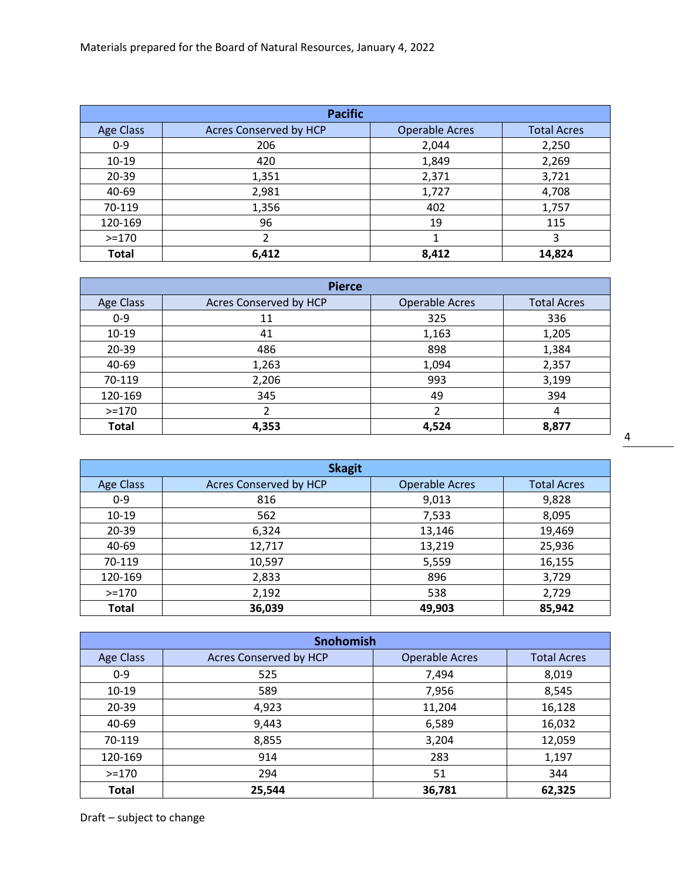| <b>Pacific</b>   |                               |                       |                    |
|------------------|-------------------------------|-----------------------|--------------------|
| <b>Age Class</b> | <b>Acres Conserved by HCP</b> | <b>Operable Acres</b> | <b>Total Acres</b> |
| $0 - 9$          | 206                           | 2,044                 | 2,250              |
| $10-19$          | 420                           | 1,849                 | 2,269              |
| 20-39            | 1,351                         | 2,371                 | 3,721              |
| 40-69            | 2,981                         | 1,727                 | 4,708              |
| 70-119           | 1,356                         | 402                   | 1,757              |
| 120-169          | 96                            | 19                    | 115                |
| $>=170$          | 2                             | 1                     | 3                  |
| <b>Total</b>     | 6,412                         | 8,412                 | 14,824             |

| <b>Pierce</b> |                        |                       |                    |
|---------------|------------------------|-----------------------|--------------------|
| Age Class     | Acres Conserved by HCP | <b>Operable Acres</b> | <b>Total Acres</b> |
| $0 - 9$       | 11                     | 325                   | 336                |
| $10-19$       | 41                     | 1,163                 | 1,205              |
| 20-39         | 486                    | 898                   | 1,384              |
| 40-69         | 1,263                  | 1,094                 | 2,357              |
| 70-119        | 2,206                  | 993                   | 3,199              |
| 120-169       | 345                    | 49                    | 394                |
| $>=170$       | 2                      | $\mathfrak{p}$        | 4                  |
| <b>Total</b>  | 4,353                  | 4,524                 | 8,877              |

4

| <b>Skagit</b>    |                        |                       |                    |
|------------------|------------------------|-----------------------|--------------------|
| <b>Age Class</b> | Acres Conserved by HCP | <b>Operable Acres</b> | <b>Total Acres</b> |
| $0 - 9$          | 816                    | 9,013                 | 9,828              |
| $10 - 19$        | 562                    | 7,533                 | 8,095              |
| 20-39            | 6,324                  | 13,146                | 19,469             |
| 40-69            | 12,717                 | 13,219                | 25,936             |
| 70-119           | 10,597                 | 5,559                 | 16,155             |
| 120-169          | 2,833                  | 896                   | 3,729              |
| $> = 170$        | 2,192                  | 538                   | 2,729              |
| <b>Total</b>     | 36,039                 | 49,903                | 85,942             |

| Snohomish        |                        |                       |                    |  |  |
|------------------|------------------------|-----------------------|--------------------|--|--|
| <b>Age Class</b> | Acres Conserved by HCP | <b>Operable Acres</b> | <b>Total Acres</b> |  |  |
| $0 - 9$          | 525                    | 7,494                 | 8,019              |  |  |
| $10-19$          | 589                    | 7,956                 | 8,545              |  |  |
| $20 - 39$        | 4,923                  | 11,204                | 16,128             |  |  |
| 40-69            | 9,443                  | 6,589                 | 16,032             |  |  |
| 70-119           | 8,855                  | 3,204                 | 12,059             |  |  |
| 120-169          | 914                    | 283                   | 1,197              |  |  |
| $> = 170$        | 294                    | 51                    | 344                |  |  |
| <b>Total</b>     | 25,544                 | 36,781                | 62,325             |  |  |

Draft – subject to change